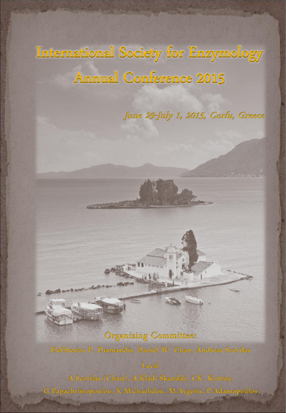# International Society for Enzymology Annual Conference 2015

## June 29-July 1, 2015, Corfu, Greece

## **Organizing Committee:**

Eleftherios P. Diamandis, Daniel W. Chan, Andreas Scorilas

Local

A.Scorilas (Chair), A.Kladi-Skandali, CK. Kontos, G. Papachristopoulou, K. Michaelidou, M. Avgeris, P. Adamopoulos